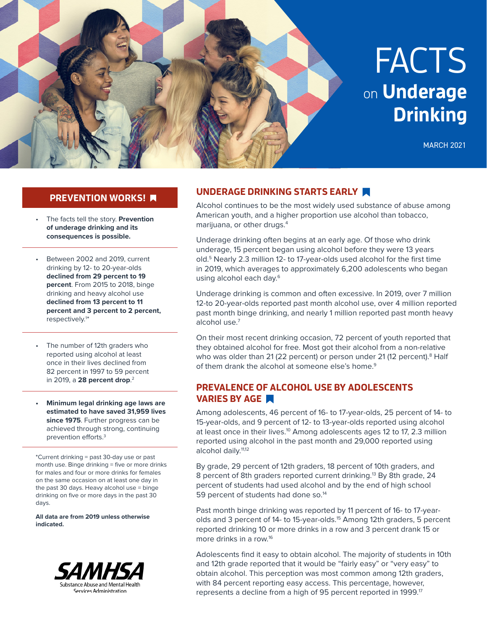

## **PREVENTION WORKS!**

- The facts tell the story. **Prevention of underage drinking and its consequences is possible.**
- Between 2002 and 2019, current drinking by 12- to 20-year-olds **declined from 29 percent to 19 percent**. From 2015 to 2018, binge drinking and heavy alcohol use **declined from 13 percent to 11 percent and 3 percent to 2 percent,** respectively. 1 \*
- The number of 12th graders who reported using alcohol at least once in their lives declined from 82 percent in 1997 to 59 percent in 2019, a **28 percent drop**. 2
- **• Minimum legal drinking age laws are estimated to have saved 31,959 lives since 1975**. Further progress can be achieved through strong, continuing prevention efforts.3

\*Current drinking = past 30-day use or past month use. Binge drinking = five or more drinks for males and four or more drinks for females on the same occasion on at least one day in the past 30 days. Heavy alcohol use = binge drinking on five or more days in the past 30 days.

**All data are from 2019 unless otherwise indicated.**



# **UNDERAGE DRINKING STARTS EARLY**

Alcohol continues to be the most widely used substance of abuse among American youth, and a higher proportion use alcohol than tobacco, marijuana, or other drugs.4

Underage drinking often begins at an early age. Of those who drink underage, 15 percent began using alcohol before they were 13 years old.5 Nearly 2.3 million 12- to 17-year-olds used alcohol for the first time in 2019, which averages to approximately 6,200 adolescents who began using alcohol each day.<sup>6</sup>

Underage drinking is common and often excessive. In 2019, over 7 million 12-to 20-year-olds reported past month alcohol use, over 4 million reported past month binge drinking, and nearly 1 million reported past month heavy alcohol use.7

On their most recent drinking occasion, 72 percent of youth reported that they obtained alcohol for free. Most got their alcohol from a non-relative who was older than 21 (22 percent) or person under 21 (12 percent).<sup>8</sup> Half of them drank the alcohol at someone else's home.<sup>9</sup>

#### **PREVALENCE OF ALCOHOL USE BY ADOLESCENTS VARIES BY AGE**

Among adolescents, 46 percent of 16- to 17-year-olds, 25 percent of 14- to 15-year-olds, and 9 percent of 12- to 13-year-olds reported using alcohol at least once in their lives.<sup>10</sup> Among adolescents ages 12 to 17, 2.3 million reported using alcohol in the past month and 29,000 reported using alcohol daily.<sup>11,12</sup>

By grade, 29 percent of 12th graders, 18 percent of 10th graders, and 8 percent of 8th graders reported current drinking.<sup>13</sup> By 8th grade, 24 percent of students had used alcohol and by the end of high school 59 percent of students had done so.<sup>14</sup>

Past month binge drinking was reported by 11 percent of 16- to 17-yearolds and 3 percent of 14- to 15-year-olds.<sup>15</sup> Among 12th graders, 5 percent reported drinking 10 or more drinks in a row and 3 percent drank 15 or more drinks in a row.16

Adolescents find it easy to obtain alcohol. The majority of students in 10th and 12th grade reported that it would be "fairly easy" or "very easy" to obtain alcohol. This perception was most common among 12th graders, with 84 percent reporting easy access. This percentage, however, represents a decline from a high of 95 percent reported in 1999.<sup>17</sup>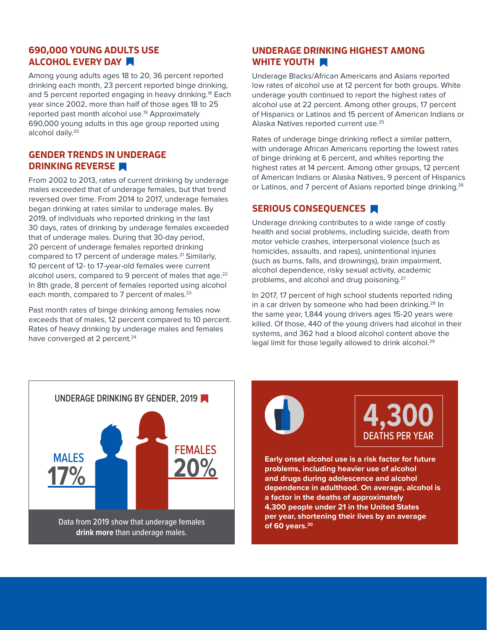## **690,000 YOUNG ADULTS USE ALCOHOL EVERY DAY**

Among young adults ages 18 to 20, 36 percent reported drinking each month, 23 percent reported binge drinking, and 5 percent reported engaging in heavy drinking.<sup>18</sup> Each year since 2002, more than half of those ages 18 to 25 reported past month alcohol use.19 Approximately 690,000 young adults in this age group reported using alcohol daily.20

## **GENDER TRENDS IN UNDERAGE DRINKING REVERSE**

From 2002 to 2013, rates of current drinking by underage males exceeded that of underage females, but that trend reversed over time. From 2014 to 2017, underage females began drinking at rates similar to underage males. By 2019, of individuals who reported drinking in the last 30 days, rates of drinking by underage females exceeded that of underage males. During that 30-day period, 20 percent of underage females reported drinking compared to 17 percent of underage males.<sup>21</sup> Similarly, 10 percent of 12- to 17-year-old females were current alcohol users, compared to 9 percent of males that age.<sup>22</sup> In 8th grade, 8 percent of females reported using alcohol each month, compared to 7 percent of males.<sup>23</sup>

Past month rates of binge drinking among females now exceeds that of males, 12 percent compared to 10 percent. Rates of heavy drinking by underage males and females have converged at 2 percent.<sup>24</sup>

# **UNDERAGE DRINKING HIGHEST AMONG WHITE YOUTH**

Underage Blacks/African Americans and Asians reported low rates of alcohol use at 12 percent for both groups. White underage youth continued to report the highest rates of alcohol use at 22 percent. Among other groups, 17 percent of Hispanics or Latinos and 15 percent of American Indians or Alaska Natives reported current use.25

Rates of underage binge drinking reflect a similar pattern, with underage African Americans reporting the lowest rates of binge drinking at 6 percent, and whites reporting the highest rates at 14 percent. Among other groups, 12 percent of American Indians or Alaska Natives, 9 percent of Hispanics or Latinos, and 7 percent of Asians reported binge drinking.<sup>26</sup>

# **SERIOUS CONSEQUENCES**

Underage drinking contributes to a wide range of costly health and social problems, including suicide, death from motor vehicle crashes, interpersonal violence (such as homicides, assaults, and rapes), unintentional injuries (such as burns, falls, and drownings), brain impairment, alcohol dependence, risky sexual activity, academic problems, and alcohol and drug poisoning.<sup>27</sup>

In 2017, 17 percent of high school students reported riding in a car driven by someone who had been drinking.<sup>28</sup> In the same year, 1,844 young drivers ages 15-20 years were killed. Of those, 440 of the young drivers had alcohol in their systems, and 362 had a blood alcohol content above the legal limit for those legally allowed to drink alcohol.<sup>29</sup>





**of 60 years.30**